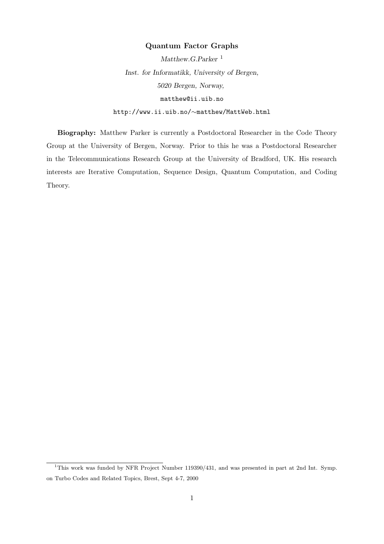### Quantum Factor Graphs

Matthew.G.Parker<sup>1</sup> Inst. for Informatikk, University of Bergen, 5020 Bergen, Norway, matthew@ii.uib.no http://www.ii.uib.no/∼matthew/MattWeb.html

Biography: Matthew Parker is currently a Postdoctoral Researcher in the Code Theory Group at the University of Bergen, Norway. Prior to this he was a Postdoctoral Researcher in the Telecommunications Research Group at the University of Bradford, UK. His research interests are Iterative Computation, Sequence Design, Quantum Computation, and Coding Theory.

<sup>&</sup>lt;sup>1</sup>This work was funded by NFR Project Number 119390/431, and was presented in part at 2nd Int. Symp. on Turbo Codes and Related Topics, Brest, Sept 4-7, 2000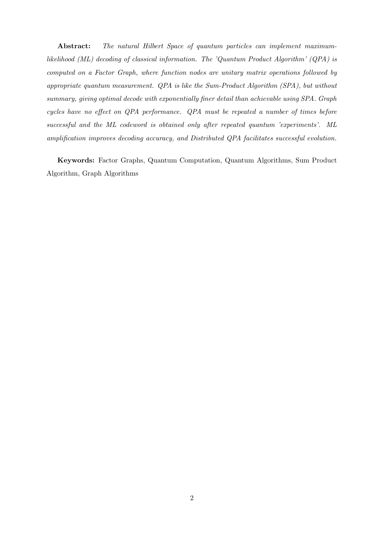Abstract: The natural Hilbert Space of quantum particles can implement maximumlikelihood (ML) decoding of classical information. The 'Quantum Product Algorithm' (QPA) is computed on a Factor Graph, where function nodes are unitary matrix operations followed by appropriate quantum measurement. QPA is like the Sum-Product Algorithm (SPA), but without summary, giving optimal decode with exponentially finer detail than achievable using SPA. Graph cycles have no effect on QPA performance. QPA must be repeated a number of times before successful and the ML codeword is obtained only after repeated quantum 'experiments'. ML amplification improves decoding accuracy, and Distributed QPA facilitates successful evolution.

Keywords: Factor Graphs, Quantum Computation, Quantum Algorithms, Sum Product Algorithm, Graph Algorithms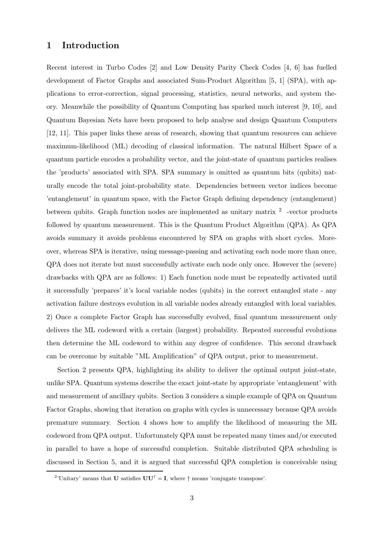### 1 Introduction

Recent interest in Turbo Codes [2] and Low Density Parity Check Codes [4, 6] has fuelled development of Factor Graphs and associated Sum-Product Algorithm [5, 1] (SPA), with applications to error-correction, signal processing, statistics, neural networks, and system theory. Meanwhile the possibility of Quantum Computing has sparked much interest [9, 10], and Quantum Bayesian Nets have been proposed to help analyse and design Quantum Computers [12, 11]. This paper links these areas of research, showing that quantum resources can achieve maximum-likelihood (ML) decoding of classical information. The natural Hilbert Space of a quantum particle encodes a probability vector, and the joint-state of quantum particles realises the 'products' associated with SPA. SPA summary is omitted as quantum bits (qubits) naturally encode the total joint-probability state. Dependencies between vector indices become 'entanglement' in quantum space, with the Factor Graph defining dependency (entanglement) between qubits. Graph function nodes are implemented as unitary matrix  $2$  -vector products followed by quantum measurement. This is the Quantum Product Algorithm (QPA). As QPA avoids summary it avoids problems encountered by SPA on graphs with short cycles. Moreover, whereas SPA is iterative, using message-passing and activating each node more than once, QPA does not iterate but must successfully activate each node only once. However the (severe) drawbacks with QPA are as follows: 1) Each function node must be repeatedly activated until it successfully 'prepares' it's local variable nodes (qubits) in the correct entangled state - any activation failure destroys evolution in all variable nodes already entangled with local variables. 2) Once a complete Factor Graph has successfully evolved, final quantum measurement only delivers the ML codeword with a certain (largest) probability. Repeated successful evolutions then determine the ML codeword to within any degree of confidence. This second drawback can be overcome by suitable "ML Amplification" of QPA output, prior to measurement.

Section 2 presents QPA, highlighting its ability to deliver the optimal output joint-state, unlike SPA. Quantum systems describe the exact joint-state by appropriate 'entanglement' with and measurement of ancillary qubits. Section 3 considers a simple example of QPA on Quantum Factor Graphs, showing that iteration on graphs with cycles is unnecessary because QPA avoids premature summary. Section 4 shows how to amplify the likelihood of measuring the ML codeword from QPA output. Unfortunately QPA must be repeated many times and/or executed in parallel to have a hope of successful completion. Suitable distributed QPA scheduling is discussed in Section 5, and it is argued that successful QPA completion is conceivable using

<sup>&</sup>lt;sup>2</sup>'Unitary' means that **U** satisfies  $UU^{\dagger} = I$ , where  $\dagger$  means 'conjugate transpose'.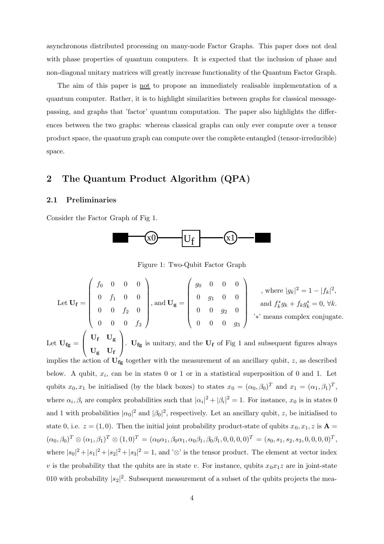asynchronous distributed processing on many-node Factor Graphs. This paper does not deal with phase properties of quantum computers. It is expected that the inclusion of phase and non-diagonal unitary matrices will greatly increase functionality of the Quantum Factor Graph.

The aim of this paper is not to propose an immediately realisable implementation of a quantum computer. Rather, it is to highlight similarities between graphs for classical messagepassing, and graphs that 'factor' quantum computation. The paper also highlights the differences between the two graphs: whereas classical graphs can only ever compute over a tensor product space, the quantum graph can compute over the complete entangled (tensor-irreducible) space.

## 2 The Quantum Product Algorithm (QPA)

### 2.1 Preliminaries

Consider the Factor Graph of Fig 1.



Figure 1: Two-Qubit Factor Graph

Let  $\mathbf{U_f} =$  $\int f_0$  0 0 0  $\overline{\phantom{a}}$  $0 \t f_1 \t 0 \t 0$  $0 \t 0 \t f_2 \t 0$  $0 \t 0 \t 0 \t f_3$  $\setminus$  $\begin{array}{c} \hline \end{array}$ , and  $\mathbf{U}_{\mathbf{g}} =$  $\begin{pmatrix} g_0 & 0 & 0 & 0 \end{pmatrix}$  $\overline{\phantom{a}}$  $0 \t g_1 \t 0 \t 0$  $0 \t 0 \t g_2 \t 0$  $0 \t 0 \t 0 \t g_3$  $\setminus$  $\begin{array}{c} \hline \end{array}$ , where  $|g_k|^2 = 1 - |f_k|^2$ , and  $f_k^* g_k + f_k g_k^* = 0, \forall k$ . '∗' means complex conjugate. Let  $\mathbf{U}_{\mathbf{fg}} =$  $\sqrt{ }$  $\overline{\mathcal{L}}$  $\rm U_f$   $\rm U_g$  $\rm U_g$   $\rm U_f$  $\setminus$ .  $U_{fg}$  is unitary, and the  $U_f$  of Fig 1 and subsequent figures always implies the action of  $U_{fg}$  together with the measurement of an ancillary qubit, z, as described below. A qubit,  $x_i$ , can be in states 0 or 1 or in a statistical superposition of 0 and 1. Let qubits  $x_0, x_1$  be initialised (by the black boxes) to states  $x_0 = (\alpha_0, \beta_0)^T$  and  $x_1 = (\alpha_1, \beta_1)^T$ , where  $\alpha_i, \beta_i$  are complex probabilities such that  $|\alpha_i|^2 + |\beta_i|^2 = 1$ . For instance,  $x_0$  is in states 0 and 1 with probabilities  $|\alpha_0|^2$  and  $|\beta_0|^2$ , respectively. Let an ancillary qubit, z, be initialised to state 0, i.e.  $z = (1, 0)$ . Then the initial joint probability product-state of qubits  $x_0, x_1, z$  is  $\mathbf{A} =$  $(\alpha_0, \beta_0)^T \otimes (\alpha_1, \beta_1)^T \otimes (1, 0)^T = (\alpha_0 \alpha_1, \beta_0 \alpha_1, \alpha_0 \beta_1, \beta_0 \beta_1, 0, 0, 0, 0)^T = (s_0, s_1, s_2, s_3, 0, 0, 0, 0)^T,$ where  $|s_0|^2 + |s_1|^2 + |s_2|^2 + |s_3|^2 = 1$ , and '⊗' is the tensor product. The element at vector index v is the probability that the qubits are in state v. For instance, qubits  $x_0x_1z$  are in joint-state 010 with probability  $|s_2|^2$ . Subsequent measurement of a subset of the qubits projects the mea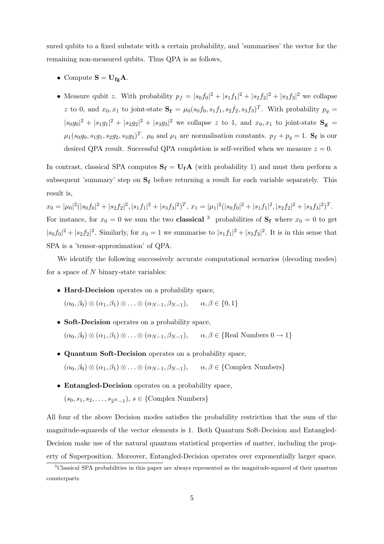sured qubits to a fixed substate with a certain probability, and 'summarises' the vector for the remaining non-measured qubits. Thus QPA is as follows,

- Compute  $S = U_{fg}A$ .
- Measure qubit z. With probability  $p_f = |s_0f_0|^2 + |s_1f_1|^2 + |s_2f_2|^2 + |s_3f_3|^2$  we collapse z to 0, and  $x_0, x_1$  to joint-state  $\mathbf{S_f} = \mu_0(s_0, s_1, s_1, s_2, s_3, s_3)^T$ . With probability  $p_g =$  $|s_0g_0|^2 + |s_1g_1|^2 + |s_2g_2|^2 + |s_3g_3|^2$  we collapse z to 1, and  $x_0, x_1$  to joint-state  $S_g$  =  $\mu_1(s_0g_0, s_1g_1, s_2g_2, s_3g_3)^T$ .  $\mu_0$  and  $\mu_1$  are normalisation constants.  $p_f + p_g = 1$ . S<sub>f</sub> is our desired QPA result. Successful QPA completion is self-verified when we measure  $z = 0$ .

In contrast, classical SPA computes  $S_f = U_f A$  (with probability 1) and must then perform a subsequent 'summary' step on  $S_f$  before returning a result for each variable separately. This result is,

 $x_0 = |\mu_0|^2 (|s_0f_0|^2 + |s_2f_2|^2, |s_1f_1|^2 + |s_3f_3|^2)^T$ ,  $x_1 = |\mu_1|^2 (|s_0f_0|^2 + |s_1f_1|^2, |s_2f_2|^2 + |s_3f_3|^2)^T$ . For instance, for  $x_0 = 0$  we sum the two **classical** <sup>3</sup> probabilities of  $S_f$  where  $x_0 = 0$  to get  $|s_0f_0|^2 + |s_2f_2|^2$ . Similarly, for  $x_0 = 1$  we summarise to  $|s_1f_1|^2 + |s_3f_3|^2$ . It is in this sense that SPA is a 'tensor-approximation' of QPA.

We identify the following successively accurate computational scenarios (decoding modes) for a space of  $N$  binary-state variables:

- Hard-Decision operates on a probability space,  $(\alpha_0, \beta_0) \otimes (\alpha_1, \beta_1) \otimes \ldots \otimes (\alpha_{N-1}, \beta_{N-1}), \quad \alpha, \beta \in \{0, 1\}$
- Soft-Decision operates on a probability space,  $(\alpha_0, \beta_0) \otimes (\alpha_1, \beta_1) \otimes \ldots \otimes (\alpha_{N-1}, \beta_{N-1}), \quad \alpha, \beta \in \{ \text{Real Numbers } 0 \to 1 \}$
- Quantum Soft-Decision operates on a probability space,  $(\alpha_0, \beta_0) \otimes (\alpha_1, \beta_1) \otimes \ldots \otimes (\alpha_{N-1}, \beta_{N-1}), \quad \alpha, \beta \in \{\text{Complex Numbers}\}\$
- Entangled-Decision operates on a probability space,  $(s_0, s_1, s_2, \ldots, s_{2^N-1}), s \in \{\text{Complex Numbers}\}\$

All four of the above Decision modes satisfies the probability restriction that the sum of the magnitude-squareds of the vector elements is 1. Both Quantum Soft-Decision and Entangled-Decision make use of the natural quantum statistical properties of matter, including the property of Superposition. Moreover, Entangled-Decision operates over exponentially larger space.

<sup>&</sup>lt;sup>3</sup>Classical SPA probabilities in this paper are always represented as the magnitude-squared of their quantum counterparts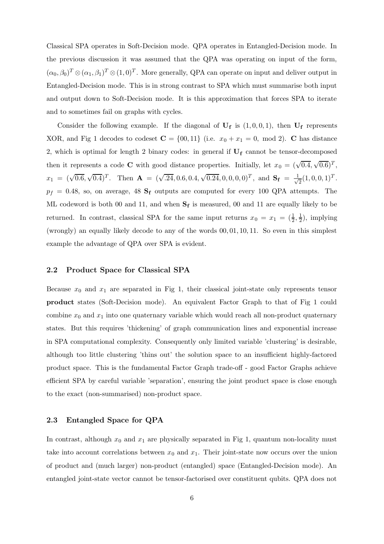Classical SPA operates in Soft-Decision mode. QPA operates in Entangled-Decision mode. In the previous discussion it was assumed that the QPA was operating on input of the form,  $(\alpha_0, \beta_0)^T \otimes (\alpha_1, \beta_1)^T \otimes (1, 0)^T$ . More generally, QPA can operate on input and deliver output in Entangled-Decision mode. This is in strong contrast to SPA which must summarise both input and output down to Soft-Decision mode. It is this approximation that forces SPA to iterate and to sometimes fail on graphs with cycles.

Consider the following example. If the diagonal of  $U_f$  is  $(1,0,0,1)$ , then  $U_f$  represents XOR, and Fig 1 decodes to codeset  $C = \{00, 11\}$  (i.e.  $x_0 + x_1 = 0$ , mod 2). C has distance 2, which is optimal for length 2 binary codes: in general if  $U_f$  cannot be tensor-decomposed then it represents a code **C** with good distance properties. Initially, let  $x_0 = (\sqrt{0.4}, \sqrt{0.6})^T$ ,  $x_1 = (\sqrt{0.6}, \sqrt{0.4})^T$ . Then  $\mathbf{A} = (\sqrt{0.24}, 0.6, 0.4, \sqrt{0.24}, 0, 0, 0, 0)^T$ , and  $\mathbf{S_f} = \frac{1}{\sqrt{0.6}}$  $\frac{1}{2}(1,0,0,1)^T$ .  $p_f = 0.48$ , so, on average, 48  $\mathbf{S_f}$  outputs are computed for every 100 QPA attempts. The ML codeword is both 00 and 11, and when  $S_f$  is measured, 00 and 11 are equally likely to be returned. In contrast, classical SPA for the same input returns  $x_0 = x_1 = (\frac{1}{2})$  $\frac{1}{2}, \frac{1}{2}$  $(\frac{1}{2})$ , implying (wrongly) an equally likely decode to any of the words 00, 01, 10, 11. So even in this simplest example the advantage of QPA over SPA is evident.

### 2.2 Product Space for Classical SPA

Because  $x_0$  and  $x_1$  are separated in Fig 1, their classical joint-state only represents tensor product states (Soft-Decision mode). An equivalent Factor Graph to that of Fig 1 could combine  $x_0$  and  $x_1$  into one quaternary variable which would reach all non-product quaternary states. But this requires 'thickening' of graph communication lines and exponential increase in SPA computational complexity. Consequently only limited variable 'clustering' is desirable, although too little clustering 'thins out' the solution space to an insufficient highly-factored product space. This is the fundamental Factor Graph trade-off - good Factor Graphs achieve efficient SPA by careful variable 'separation', ensuring the joint product space is close enough to the exact (non-summarised) non-product space.

### 2.3 Entangled Space for QPA

In contrast, although  $x_0$  and  $x_1$  are physically separated in Fig 1, quantum non-locality must take into account correlations between  $x_0$  and  $x_1$ . Their joint-state now occurs over the union of product and (much larger) non-product (entangled) space (Entangled-Decision mode). An entangled joint-state vector cannot be tensor-factorised over constituent qubits. QPA does not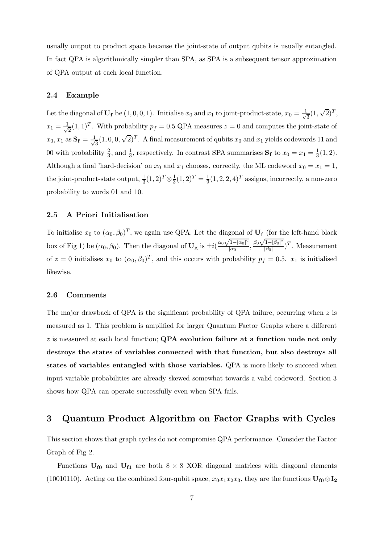usually output to product space because the joint-state of output qubits is usually entangled. In fact QPA is algorithmically simpler than SPA, as SPA is a subsequent tensor approximation of QPA output at each local function.

### 2.4 Example

Let the diagonal of  $U_f$  be  $(1,0,0,1)$ . Initialise  $x_0$  and  $x_1$  to joint-product-state,  $x_0 = \frac{1}{\sqrt{2}}$  $\frac{1}{3}(1,\sqrt{2})^T$ ,  $x_1 = \frac{1}{\sqrt{2}}$  $\frac{1}{2}(1,1)^T$ . With probability  $p_f = 0.5$  QPA measures  $z = 0$  and computes the joint-state of  $x_0, x_1$  as  $\mathbf{S_f} = \frac{1}{\sqrt{2}}$  $\frac{1}{3}(1,0,0,\sqrt{2})^T$ . A final measurement of qubits  $x_0$  and  $x_1$  yields codewords 11 and 00 with probability  $\frac{2}{3}$  $\frac{2}{3}$ , and  $\frac{1}{3}$ , respectively. In contrast SPA summarises  $S_f$  to  $x_0 = x_1 = \frac{1}{3}$  $\frac{1}{3}(1,2).$ Although a final 'hard-decision' on  $x_0$  and  $x_1$  chooses, correctly, the ML codeword  $x_0 = x_1 = 1$ , the joint-product-state output,  $\frac{1}{3}(1,2)^T \otimes \frac{1}{3}(1,2)^T = \frac{1}{9}(1,2,2,4)^T$  assigns, incorrectly, a non-zero probability to words 01 and 10.

### 2.5 A Priori Initialisation

To initialise  $x_0$  to  $(\alpha_0, \beta_0)^T$ , we again use QPA. Let the diagonal of  $U_f$  (for the left-hand black box of Fig 1) be  $(\alpha_0, \beta_0)$ . Then the diagonal of  $U_g$  is  $\pm i\left(\frac{\alpha_0\sqrt{1-|\alpha_0|^2}}{|\alpha_0|}\right)$  $\frac{1-|\alpha_0|^2}{|\alpha_0|}, \frac{\beta_0\sqrt{1-|\beta_0|^2}}{|\beta_0|}$  $\frac{1-|\beta_0|^2}{|\beta_0|}$ )<sup>T</sup>. Measurement of  $z = 0$  initialises  $x_0$  to  $(\alpha_0, \beta_0)^T$ , and this occurs with probability  $p_f = 0.5$ .  $x_1$  is initialised likewise.

### 2.6 Comments

The major drawback of QPA is the significant probability of QPA failure, occurring when  $z$  is measured as 1. This problem is amplified for larger Quantum Factor Graphs where a different  $z$  is measured at each local function; QPA evolution failure at a function node not only destroys the states of variables connected with that function, but also destroys all states of variables entangled with those variables. QPA is more likely to succeed when input variable probabilities are already skewed somewhat towards a valid codeword. Section 3 shows how QPA can operate successfully even when SPA fails.

## 3 Quantum Product Algorithm on Factor Graphs with Cycles

This section shows that graph cycles do not compromise QPA performance. Consider the Factor Graph of Fig 2.

Functions  $U_{f0}$  and  $U_{f1}$  are both  $8 \times 8$  XOR diagonal matrices with diagonal elements (10010110). Acting on the combined four-qubit space,  $x_0x_1x_2x_3$ , they are the functions  $\mathbf{U}_{\mathbf{f0}} \otimes \mathbf{I}_2$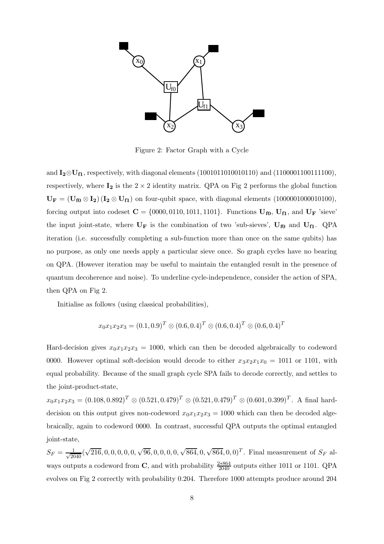

Figure 2: Factor Graph with a Cycle

and  $I_2 \otimes U_{f1}$ , respectively, with diagonal elements (10010110100101110) and (1100001100111100), respectively, where  $I_2$  is the  $2 \times 2$  identity matrix. QPA on Fig 2 performs the global function  $U_F = (U_{f0} \otimes I_2)(I_2 \otimes U_{f1})$  on four-qubit space, with diagonal elements (1000001000010100), forcing output into codeset  $C = \{0000, 0110, 1011, 1101\}$ . Functions  $U_{f0}$ ,  $U_{f1}$ , and  $U_F$  'sieve' the input joint-state, where  $U_F$  is the combination of two 'sub-sieves',  $U_{f0}$  and  $U_{f1}$ . QPA iteration (i.e. successfully completing a sub-function more than once on the same qubits) has no purpose, as only one needs apply a particular sieve once. So graph cycles have no bearing on QPA. (However iteration may be useful to maintain the entangled result in the presence of quantum decoherence and noise). To underline cycle-independence, consider the action of SPA, then QPA on Fig 2.

Initialise as follows (using classical probabilities),

$$
x_0 x_1 x_2 x_3 = (0.1, 0.9)^T \otimes (0.6, 0.4)^T \otimes (0.6, 0.4)^T \otimes (0.6, 0.4)^T
$$

Hard-decision gives  $x_0x_1x_2x_3 = 1000$ , which can then be decoded algebraically to codeword 0000. However optimal soft-decision would decode to either  $x_3x_2x_1x_0 = 1011$  or 1101, with equal probability. Because of the small graph cycle SPA fails to decode correctly, and settles to the joint-product-state,

 $x_0x_1x_2x_3 = (0.108, 0.892)^T \otimes (0.521, 0.479)^T \otimes (0.521, 0.479)^T \otimes (0.601, 0.399)^T$ . A final harddecision on this output gives non-codeword  $x_0x_1x_2x_3 = 1000$  which can then be decoded algebraically, again to codeword 0000. In contrast, successful QPA outputs the optimal entangled joint-state,

 $S_F = \frac{1}{\sqrt{2040}} (\sqrt{216}, 0, 0, 0, 0, 0, 0, \sqrt{96}, 0, 0, 0, 0, \sqrt{864}, 0, \sqrt{864}, 0, 0)^T$ . Final measurement of  $S_F$  always outputs a codeword from C, and with probability  $\frac{2*864}{2040}$  outputs either 1011 or 1101. QPA evolves on Fig 2 correctly with probability 0.204. Therefore 1000 attempts produce around 204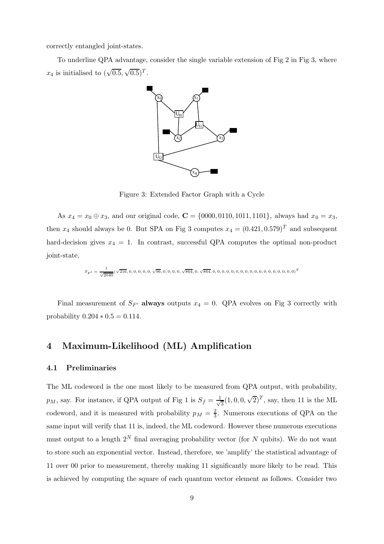correctly entangled joint-states.

To underline QPA advantage, consider the single variable extension of Fig 2 in Fig 3, where  $x_4$  is initialised to  $(\sqrt{0.5}, \sqrt{0.5})^T$ .



Figure 3: Extended Factor Graph with a Cycle

As  $x_4 = x_0 \oplus x_3$ , and our original code,  $C = \{0000, 0110, 1011, 1101\}$ , always had  $x_0 = x_3$ , then  $x_4$  should always be 0. But SPA on Fig 3 computes  $x_4 = (0.421, 0.579)^T$  and subsequent hard-decision gives  $x_4 = 1$ . In contrast, successful QPA computes the optimal non-product joint-state,

$$
S_{F'} = \frac{1}{\sqrt{2040}}(\sqrt{216},0,0,0,0,0,0,\sqrt{96},0,0,0,0,\sqrt{864},0,\sqrt{864},0,0,0,0,0,0,0,0,0,0,0,0,0,0,0,0,0,0)^T
$$

Final measurement of  $S_{F'}$  always outputs  $x_4 = 0$ . QPA evolves on Fig 3 correctly with probability  $0.204 * 0.5 = 0.114$ .

## 4 Maximum-Likelihood (ML) Amplification

#### 4.1 Preliminaries

The ML codeword is the one most likely to be measured from QPA output, with probability,  $p_M$ , say. For instance, if QPA output of Fig 1 is  $S_f = \frac{1}{\sqrt{2}}$  $\frac{1}{3}(1,0,0,\sqrt{2})^T$ , say, then 11 is the ML codeword, and it is measured with probability  $p_M = \frac{2}{3}$  $\frac{2}{3}$ . Numerous executions of QPA on the same input will verify that 11 is, indeed, the ML codeword. However these numerous executions must output to a length  $2^N$  final averaging probability vector (for N qubits). We do not want to store such an exponential vector. Instead, therefore, we 'amplify' the statistical advantage of 11 over 00 prior to measurement, thereby making 11 significantly more likely to be read. This is achieved by computing the square of each quantum vector element as follows. Consider two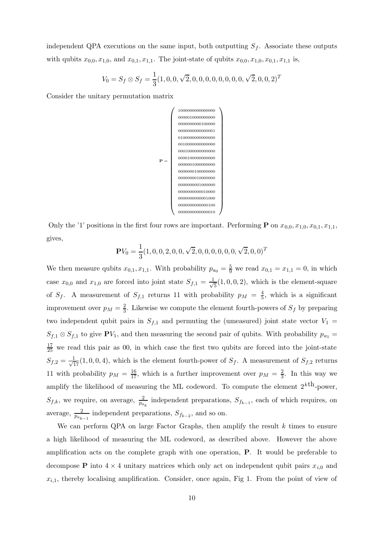independent QPA executions on the same input, both outputting  $S_f$ . Associate these outputs with qubits  $x_{0,0}, x_{1,0}$ , and  $x_{0,1}, x_{1,1}$ . The joint-state of qubits  $x_{0,0}, x_{1,0}, x_{0,1}, x_{1,1}$  is,

$$
V_0 = S_f \otimes S_f = \frac{1}{3}(1, 0, 0, \sqrt{2}, 0, 0, 0, 0, 0, 0, 0, 0, \sqrt{2}, 0, 0, 2)^T
$$

Consider the unitary permutation matrix



Only the '1' positions in the first four rows are important. Performing **P** on  $x_{0,0}, x_{1,0}, x_{0,1}, x_{1,1}$ , gives,

$$
\mathbf{P} V_0 = \frac{1}{3} (1,0,0,2,0,0,\sqrt{2},0,0,0,0,0,0,\sqrt{2},0,0)^T
$$

We then measure qubits  $x_{0,1}, x_{1,1}$ . With probability  $p_{a_0} = \frac{5}{9}$  we read  $x_{0,1} = x_{1,1} = 0$ , in which case  $x_{0,0}$  and  $x_{1,0}$  are forced into joint state  $S_{f,1} = \frac{1}{\sqrt{2}}$  $\frac{1}{5}(1,0,0,2)$ , which is the element-square of  $S_f$ . A measurement of  $S_{f,1}$  returns 11 with probability  $p_M = \frac{4}{5}$  $\frac{4}{5}$ , which is a significant improvement over  $p_M = \frac{2}{3}$  $\frac{2}{3}$ . Likewise we compute the element fourth-powers of  $S_f$  by preparing two independent qubit pairs in  $S_{f,1}$  and permuting the (umeasured) joint state vector  $V_1$  =  $S_{f,1} \otimes S_{f,1}$  to give  $\mathbf{P}V_1$ , and then measuring the second pair of qubits. With probability  $p_{a_1} =$  $\frac{17}{25}$  we read this pair as 00, in which case the first two qubits are forced into the joint-state  $S_{f,2} = \frac{1}{\sqrt{17}}(1,0,0,4)$ , which is the element fourth-power of  $S_f$ . A measurement of  $S_{f,2}$  returns 11 with probability  $p_M = \frac{16}{17}$ , which is a further improvement over  $p_M = \frac{2}{3}$  $\frac{2}{3}$ . In this way we amplify the likelihood of measuring the ML codeword. To compute the element  $2^{k \text{th}}$ -power,  $S_{f,k}$ , we require, on average,  $\frac{2}{p_{a_k}}$  independent preparations,  $S_{f_{k-1}}$ , each of which requires, on average,  $\frac{2}{p_{a_{k-1}}}$  independent preparations,  $S_{f_{k-2}}$ , and so on.

We can perform QPA on large Factor Graphs, then amplify the result  $k$  times to ensure a high likelihood of measuring the ML codeword, as described above. However the above amplification acts on the complete graph with one operation, P. It would be preferable to decompose **P** into  $4 \times 4$  unitary matrices which only act on independent qubit pairs  $x_{i,0}$  and  $x_{i,1}$ , thereby localising amplification. Consider, once again, Fig 1. From the point of view of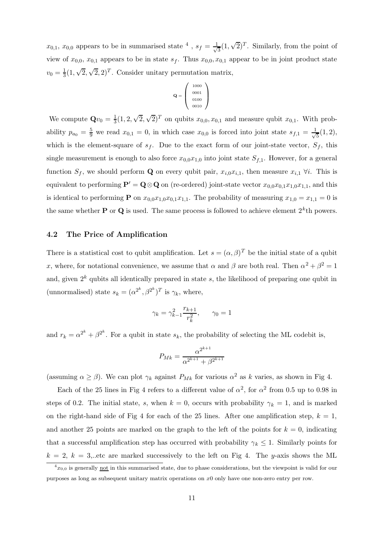$x_{0,1}, x_{0,0}$  appears to be in summarised state <sup>4</sup>,  $s_f = \frac{1}{\sqrt{2}}$  $\overline{3}(1,\sqrt{2})^T$ . Similarly, from the point of view of  $x_{0,0}$ ,  $x_{0,1}$  appears to be in state  $s_f$ . Thus  $x_{0,0}, x_{0,1}$  appear to be in joint product state  $v_0 = \frac{1}{3}$  $\frac{1}{3}(1,\sqrt{2},\sqrt{2},2)^T$ . Consider unitary permutation matrix,

$$
\mathbf{Q} = \left(\begin{array}{c} 1000 \\ 0001 \\ 0100 \\ 0010 \end{array}\right)
$$

We compute  $\mathbf{Q}v_0 = \frac{1}{3}$  $\frac{1}{3}(1, 2, \sqrt{2}, \sqrt{2})^T$  on qubits  $x_{0,0}, x_{0,1}$  and measure qubit  $x_{0,1}$ . With probability  $p_{a_0} = \frac{5}{9}$  we read  $x_{0,1} = 0$ , in which case  $x_{0,0}$  is forced into joint state  $s_{f,1} = \frac{1}{\sqrt{3}}$  $\frac{1}{5}(1,2),$ which is the element-square of  $s_f$ . Due to the exact form of our joint-state vector,  $S_f$ , this single measurement is enough to also force  $x_{0,0}x_{1,0}$  into joint state  $S_{f,1}$ . However, for a general function  $S_f$ , we should perform **Q** on every qubit pair,  $x_{i,0}x_{i,1}$ , then measure  $x_{i,1}$   $\forall i$ . This is equivalent to performing  $\mathbf{P}' = \mathbf{Q} \otimes \mathbf{Q}$  on (re-ordered) joint-state vector  $x_{0,0}x_{0,1}x_{1,0}x_{1,1}$ , and this is identical to performing **P** on  $x_{0,0}x_{1,0}x_{0,1}x_{1,1}$ . The probability of measuring  $x_{1,0} = x_{1,1} = 0$  is the same whether **P** or **Q** is used. The same process is followed to achieve element  $2^k$ th powers.

#### 4.2 The Price of Amplification

There is a statistical cost to qubit amplification. Let  $s = (\alpha, \beta)^T$  be the initial state of a qubit x, where, for notational convenience, we assume that  $\alpha$  and  $\beta$  are both real. Then  $\alpha^2 + \beta^2 = 1$ and, given  $2^k$  qubits all identically prepared in state s, the likelihood of preparing one qubit in (unnormalised) state  $s_k = (\alpha^{2^k}, \beta^{2^k})^T$  is  $\gamma_k$ , where,

$$
\gamma_k = \gamma_{k-1}^2 \frac{r_{k+1}}{r_k^2}, \qquad \gamma_0 = 1
$$

and  $r_k = \alpha^{2^k} + \beta^{2^k}$ . For a qubit in state  $s_k$ , the probability of selecting the ML codebit is,

$$
P_{Mk} = \frac{\alpha^{2^{k+1}}}{\alpha^{2^{k+1}} + \beta^{2^{k+1}}}
$$

(assuming  $\alpha \geq \beta$ ). We can plot  $\gamma_k$  against  $P_{Mk}$  for various  $\alpha^2$  as k varies, as shown in Fig 4.

Each of the 25 lines in Fig 4 refers to a different value of  $\alpha^2$ , for  $\alpha^2$  from 0.5 up to 0.98 in steps of 0.2. The initial state, s, when  $k = 0$ , occurs with probability  $\gamma_k = 1$ , and is marked on the right-hand side of Fig 4 for each of the 25 lines. After one amplification step,  $k = 1$ , and another 25 points are marked on the graph to the left of the points for  $k = 0$ , indicating that a successful amplification step has occurred with probability  $\gamma_k \leq 1$ . Similarly points for  $k = 2, k = 3$ , etc are marked successively to the left on Fig 4. The y-axis shows the ML

 ${}^4x_{0,0}$  is generally not in this summarised state, due to phase considerations, but the viewpoint is valid for our purposes as long as subsequent unitary matrix operations on x0 only have one non-zero entry per row.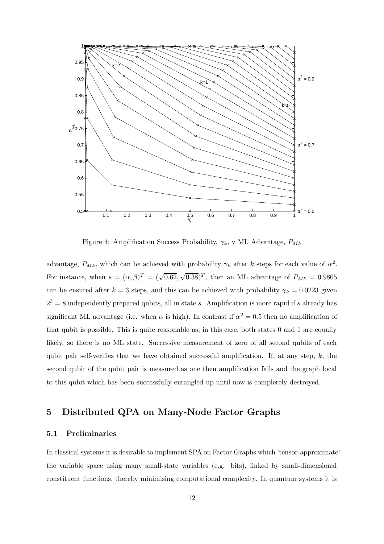

Figure 4: Amplification Success Probability,  $\gamma_k$ , v ML Advantage,  $P_{Mk}$ 

advantage,  $P_{Mk}$ , which can be achieved with probability  $\gamma_k$  after k steps for each value of  $\alpha^2$ . For instance, when  $s = (\alpha, \beta)^T = (\sqrt{0.62}, \sqrt{0.38})^T$ , then an ML advantage of  $P_{Mk} = 0.9805$ can be ensured after  $k = 3$  steps, and this can be achieved with probability  $\gamma_k = 0.0223$  given  $2^3 = 8$  independently prepared qubits, all in state s. Amplification is more rapid if s already has significant ML advantage (i.e. when  $\alpha$  is high). In contrast if  $\alpha^2 = 0.5$  then no amplification of that qubit is possible. This is quite reasonable as, in this case, both states 0 and 1 are equally likely, so there is no ML state. Successive measurement of zero of all second qubits of each qubit pair self-verifies that we have obtained successful amplification. If, at any step,  $k$ , the second qubit of the qubit pair is measured as one then amplification fails and the graph local to this qubit which has been successfully entangled up until now is completely destroyed.

## 5 Distributed QPA on Many-Node Factor Graphs

### 5.1 Preliminaries

In classical systems it is desirable to implement SPA on Factor Graphs which 'tensor-approximate' the variable space using many small-state variables (e.g. bits), linked by small-dimensional constituent functions, thereby minimising computational complexity. In quantum systems it is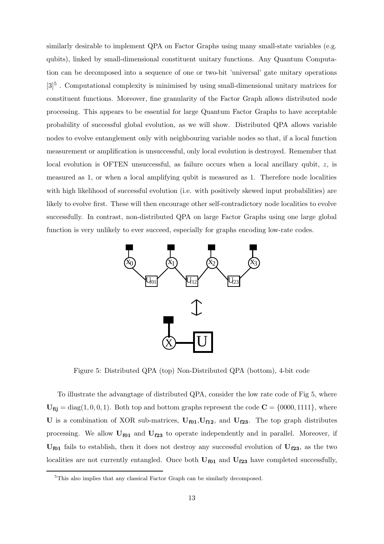similarly desirable to implement QPA on Factor Graphs using many small-state variables (e.g. qubits), linked by small-dimensional constituent unitary functions. Any Quantum Computation can be decomposed into a sequence of one or two-bit 'universal' gate unitary operations [3]<sup>5</sup>. Computational complexity is minimised by using small-dimensional unitary matrices for constituent functions. Moreover, fine granularity of the Factor Graph allows distributed node processing. This appears to be essential for large Quantum Factor Graphs to have acceptable probability of successful global evolution, as we will show. Distributed QPA allows variable nodes to evolve entanglement only with neighbouring variable nodes so that, if a local function measurement or amplification is unsuccessful, only local evolution is destroyed. Remember that local evolution is OFTEN unsuccessful, as failure occurs when a local ancillary qubit,  $z$ , is measured as 1, or when a local amplifying qubit is measured as 1. Therefore node localities with high likelihood of successful evolution (i.e. with positively skewed input probabilities) are likely to evolve first. These will then encourage other self-contradictory node localities to evolve successfully. In contrast, non-distributed QPA on large Factor Graphs using one large global function is very unlikely to ever succeed, especially for graphs encoding low-rate codes.



Figure 5: Distributed QPA (top) Non-Distributed QPA (bottom), 4-bit code

To illustrate the advangtage of distributed QPA, consider the low rate code of Fig 5, where  $U_{\text{fij}} = \text{diag}(1, 0, 0, 1)$ . Both top and bottom graphs represent the code  $C = \{0000, 1111\}$ , where U is a combination of XOR sub-matrices,  $U_{f01}, U_{f12}$ , and  $U_{f23}$ . The top graph distributes processing. We allow  $U_{f01}$  and  $U_{f23}$  to operate independently and in parallel. Moreover, if  $U_{f01}$  fails to establish, then it does not destroy any successful evolution of  $U_{f23}$ , as the two localities are not currently entangled. Once both  $U_{f01}$  and  $U_{f23}$  have completed successfully,

<sup>&</sup>lt;sup>5</sup>This also implies that any classical Factor Graph can be similarly decomposed.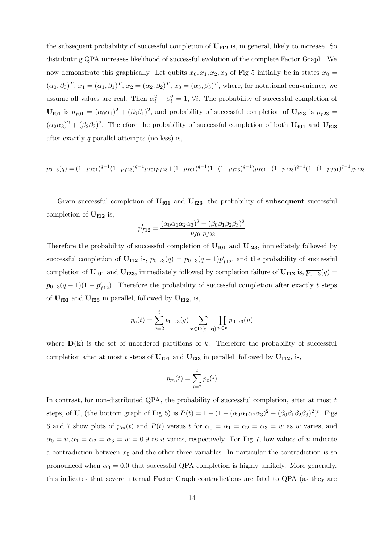the subsequent probability of successful completion of  $U_{f12}$  is, in general, likely to increase. So distributing QPA increases likelihood of successful evolution of the complete Factor Graph. We now demonstrate this graphically. Let qubits  $x_0, x_1, x_2, x_3$  of Fig 5 initially be in states  $x_0 =$  $(\alpha_0, \beta_0)^T$ ,  $x_1 = (\alpha_1, \beta_1)^T$ ,  $x_2 = (\alpha_2, \beta_2)^T$ ,  $x_3 = (\alpha_3, \beta_3)^T$ , where, for notational convenience, we assume all values are real. Then  $\alpha_i^2 + \beta_i^2 = 1$ ,  $\forall i$ . The probability of successful completion of  $U_{f01}$  is  $p_{f01} = (\alpha_0 \alpha_1)^2 + (\beta_0 \beta_1)^2$ , and probability of successful completion of  $U_{f23}$  is  $p_{f23} =$  $(\alpha_2\alpha_3)^2 + (\beta_2\beta_3)^2$ . Therefore the probability of successful completion of both  $U_{f01}$  and  $U_{f23}$ after exactly  $q$  parallel attempts (no less) is,

$$
p_{0-3}(q) = (1 - p_{f01})^{q-1} (1 - p_{f23})^{q-1} p_{f01} p_{f23} + (1 - p_{f01})^{q-1} (1 - (1 - p_{f23})^{q-1}) p_{f01} + (1 - p_{f23})^{q-1} (1 - (1 - p_{f01})^{q-1}) p_{f23}
$$

Given successful completion of  $U_{f01}$  and  $U_{f23}$ , the probability of subsequent successful completion of  $U_{f12}$  is,

$$
p'_{f12} = \frac{(\alpha_0 \alpha_1 \alpha_2 \alpha_3)^2 + (\beta_0 \beta_1 \beta_2 \beta_3)^2}{p_{f01} p_{f23}}
$$

Therefore the probability of successful completion of  $U_{f01}$  and  $U_{f23}$ , immediately followed by successful completion of  $\mathbf{U}_{f12}$  is,  $p_{0\rightarrow 3}(q) = p_{0-3}(q-1)p'_{f12}$ , and the probability of successful completion of  $U_{f01}$  and  $U_{f23}$ , immediately followed by completion failure of  $U_{f12}$  is,  $\overline{p_{0\rightarrow 3}}(q)$  $p_{0-3}(q-1)(1-p'_{f12})$ . Therefore the probability of successful completion after exactly t steps of  $U_{f01}$  and  $U_{f23}$  in parallel, followed by  $U_{f12}$ , is,

$$
p_e(t) = \sum_{q=2}^{t} p_{0 \to 3}(q) \sum_{\mathbf{v} \in \mathbf{D}(\mathbf{t} - \mathbf{q})} \prod_{u \in \mathbf{v}} \overline{p_{0 \to 3}}(u)
$$

where  $D(k)$  is the set of unordered partitions of k. Therefore the probability of successful completion after at most t steps of  $U_{f01}$  and  $U_{f23}$  in parallel, followed by  $U_{f12}$ , is,

$$
p_m(t) = \sum_{i=2}^{t} p_e(i)
$$

In contrast, for non-distributed QPA, the probability of successful completion, after at most t steps, of U, (the bottom graph of Fig 5) is  $P(t) = 1 - (1 - (\alpha_0 \alpha_1 \alpha_2 \alpha_3)^2 - (\beta_0 \beta_1 \beta_2 \beta_3)^2)^t$ . Figs 6 and 7 show plots of  $p_m(t)$  and  $P(t)$  versus t for  $\alpha_0 = \alpha_1 = \alpha_2 = \alpha_3 = w$  as w varies, and  $\alpha_0 = u, \alpha_1 = \alpha_2 = \alpha_3 = w = 0.9$  as u varies, respectively. For Fig 7, low values of u indicate a contradiction between  $x_0$  and the other three variables. In particular the contradiction is so pronounced when  $\alpha_0 = 0.0$  that successful QPA completion is highly unlikely. More generally, this indicates that severe internal Factor Graph contradictions are fatal to QPA (as they are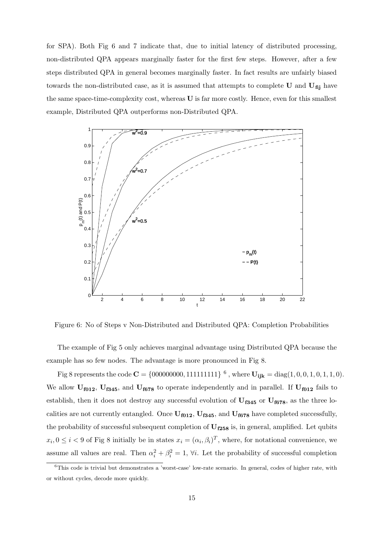for SPA). Both Fig 6 and 7 indicate that, due to initial latency of distributed processing, non-distributed QPA appears marginally faster for the first few steps. However, after a few steps distributed QPA in general becomes marginally faster. In fact results are unfairly biased towards the non-distributed case, as it is assumed that attempts to complete  $U$  and  $U_{\text{fi}}$  have the same space-time-complexity cost, whereas U is far more costly. Hence, even for this smallest example, Distributed QPA outperforms non-Distributed QPA.



Figure 6: No of Steps v Non-Distributed and Distributed QPA: Completion Probabilities

The example of Fig 5 only achieves marginal advantage using Distributed QPA because the example has so few nodes. The advantage is more pronounced in Fig 8.

Fig 8 represents the code  $C = \{000000000, 111111111\}$  <sup>6</sup>, where  $U_{ijk} = diag(1, 0, 0, 1, 0, 1, 1, 0)$ . We allow  $U_{f012}$ ,  $U_{f345}$ , and  $U_{f678}$  to operate independently and in parallel. If  $U_{f012}$  fails to establish, then it does not destroy any successful evolution of  $U_{f345}$  or  $U_{f678}$ , as the three localities are not currently entangled. Once  $U_{f012}$ ,  $U_{f345}$ , and  $U_{f678}$  have completed successfully, the probability of successful subsequent completion of  $U_{f258}$  is, in general, amplified. Let qubits  $x_i, 0 \leq i < 9$  of Fig 8 initially be in states  $x_i = (\alpha_i, \beta_i)^T$ , where, for notational convenience, we assume all values are real. Then  $\alpha_i^2 + \beta_i^2 = 1$ ,  $\forall i$ . Let the probability of successful completion

<sup>6</sup>This code is trivial but demonstrates a 'worst-case' low-rate scenario. In general, codes of higher rate, with or without cycles, decode more quickly.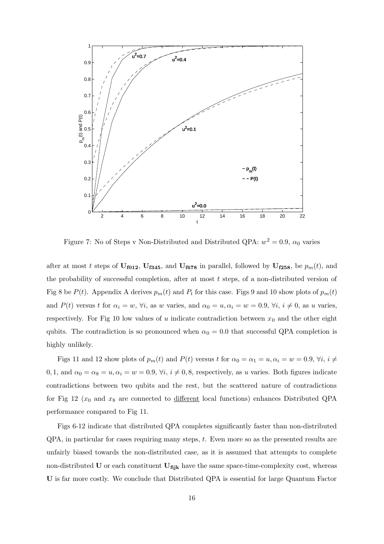

Figure 7: No of Steps v Non-Distributed and Distributed QPA:  $w^2 = 0.9$ ,  $\alpha_0$  varies

after at most t steps of  $U_{f012}$ ,  $U_{f345}$ , and  $U_{f678}$  in parallel, followed by  $U_{f258}$ , be  $p_m(t)$ , and the probability of successful completion, after at most  $t$  steps, of a non-distributed version of Fig 8 be  $P(t)$ . Appendix A derives  $p_m(t)$  and  $P_t$  for this case. Figs 9 and 10 show plots of  $p_m(t)$ and  $P(t)$  versus t for  $\alpha_i = w$ ,  $\forall i$ , as w varies, and  $\alpha_0 = u, \alpha_i = w = 0.9$ ,  $\forall i$ ,  $i \neq 0$ , as u varies, respectively. For Fig 10 low values of u indicate contradiction between  $x_0$  and the other eight qubits. The contradiction is so pronounced when  $\alpha_0 = 0.0$  that successful QPA completion is highly unlikely.

Figs 11 and 12 show plots of  $p_m(t)$  and  $P(t)$  versus t for  $\alpha_0 = \alpha_1 = u, \alpha_i = w = 0.9, \forall i, i \neq j$ 0, 1, and  $\alpha_0 = \alpha_8 = u, \alpha_i = w = 0.9, \forall i, i \neq 0, 8$ , respectively, as u varies. Both figures indicate contradictions between two qubits and the rest, but the scattered nature of contradictions for Fig 12 ( $x_0$  and  $x_8$  are connected to different local functions) enhances Distributed QPA performance compared to Fig 11.

Figs 6-12 indicate that distributed QPA completes significantly faster than non-distributed QPA, in particular for cases requiring many steps, t. Even more so as the presented results are unfairly biased towards the non-distributed case, as it is assumed that attempts to complete non-distributed U or each constituent  $U_{fijk}$  have the same space-time-complexity cost, whereas U is far more costly. We conclude that Distributed QPA is essential for large Quantum Factor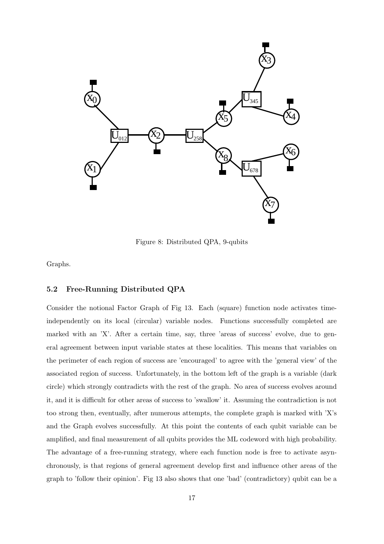

Figure 8: Distributed QPA, 9-qubits

Graphs.

### 5.2 Free-Running Distributed QPA

Consider the notional Factor Graph of Fig 13. Each (square) function node activates timeindependently on its local (circular) variable nodes. Functions successfully completed are marked with an 'X'. After a certain time, say, three 'areas of success' evolve, due to general agreement between input variable states at these localities. This means that variables on the perimeter of each region of success are 'encouraged' to agree with the 'general view' of the associated region of success. Unfortunately, in the bottom left of the graph is a variable (dark circle) which strongly contradicts with the rest of the graph. No area of success evolves around it, and it is difficult for other areas of success to 'swallow' it. Assuming the contradiction is not too strong then, eventually, after numerous attempts, the complete graph is marked with 'X's and the Graph evolves successfully. At this point the contents of each qubit variable can be amplified, and final measurement of all qubits provides the ML codeword with high probability. The advantage of a free-running strategy, where each function node is free to activate asynchronously, is that regions of general agreement develop first and influence other areas of the graph to 'follow their opinion'. Fig 13 also shows that one 'bad' (contradictory) qubit can be a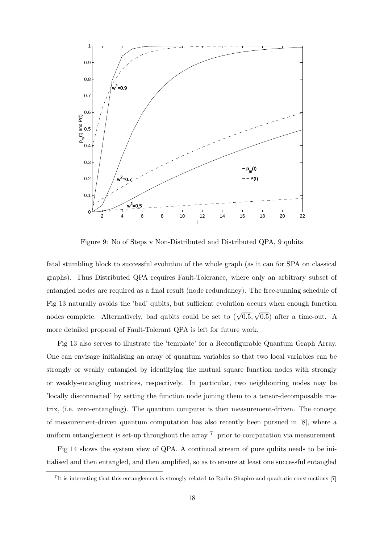

Figure 9: No of Steps v Non-Distributed and Distributed QPA, 9 qubits

fatal stumbling block to successful evolution of the whole graph (as it can for SPA on classical graphs). Thus Distributed QPA requires Fault-Tolerance, where only an arbitrary subset of entangled nodes are required as a final result (node redundancy). The free-running schedule of Fig 13 naturally avoids the 'bad' qubits, but sufficient evolution occurs when enough function nodes complete. Alternatively, bad qubits could be set to  $(\sqrt{0.5}, \sqrt{0.5})$  after a time-out. A more detailed proposal of Fault-Tolerant QPA is left for future work.

Fig 13 also serves to illustrate the 'template' for a Reconfigurable Quantum Graph Array. One can envisage initialising an array of quantum variables so that two local variables can be strongly or weakly entangled by identifying the mutual square function nodes with strongly or weakly-entangling matrices, respectively. In particular, two neighbouring nodes may be 'locally disconnected' by setting the function node joining them to a tensor-decomposable matrix, (i.e. zero-entangling). The quantum computer is then measurement-driven. The concept of measurement-driven quantum computation has also recently been pursued in [8], where a uniform entanglement is set-up throughout the array <sup>7</sup> prior to computation via measurement.

Fig 14 shows the system view of QPA. A continual stream of pure qubits needs to be initialised and then entangled, and then amplified, so as to ensure at least one successful entangled

<sup>7</sup> It is interesting that this entanglement is strongly related to Rudin-Shapiro and quadratic constructions [7]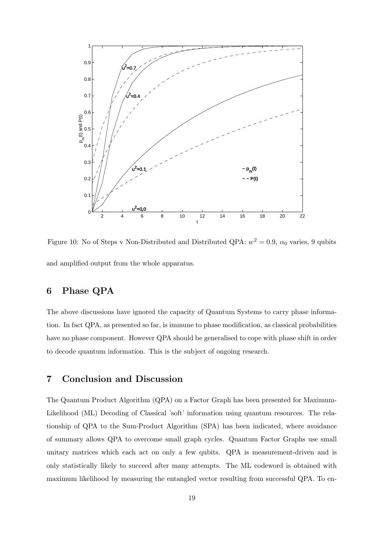

Figure 10: No of Steps v Non-Distributed and Distributed QPA:  $w^2 = 0.9$ ,  $\alpha_0$  varies, 9 qubits and amplified output from the whole apparatus.

## 6 Phase QPA

The above discussions have ignored the capacity of Quantum Systems to carry phase information. In fact QPA, as presented so far, is immune to phase modification, as classical probabilities have no phase component. However QPA should be generalised to cope with phase shift in order to decode quantum information. This is the subject of ongoing research.

## 7 Conclusion and Discussion

The Quantum Product Algorithm (QPA) on a Factor Graph has been presented for Maximum-Likelihood (ML) Decoding of Classical 'soft' information using quantum resources. The relationship of QPA to the Sum-Product Algorithm (SPA) has been indicated, where avoidance of summary allows QPA to overcome small graph cycles. Quantum Factor Graphs use small unitary matrices which each act on only a few qubits. QPA is measurement-driven and is only statistically likely to succeed after many attempts. The ML codeword is obtained with maximum likelihood by measuring the entangled vector resulting from successful QPA. To en-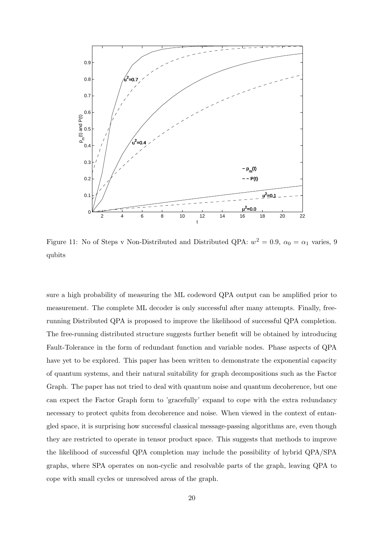

Figure 11: No of Steps v Non-Distributed and Distributed QPA:  $w^2 = 0.9$ ,  $\alpha_0 = \alpha_1$  varies, 9 qubits

sure a high probability of measuring the ML codeword QPA output can be amplified prior to measurement. The complete ML decoder is only successful after many attempts. Finally, freerunning Distributed QPA is proposed to improve the likelihood of successful QPA completion. The free-running distributed structure suggests further benefit will be obtained by introducing Fault-Tolerance in the form of redundant function and variable nodes. Phase aspects of QPA have yet to be explored. This paper has been written to demonstrate the exponential capacity of quantum systems, and their natural suitability for graph decompositions such as the Factor Graph. The paper has not tried to deal with quantum noise and quantum decoherence, but one can expect the Factor Graph form to 'gracefully' expand to cope with the extra redundancy necessary to protect qubits from decoherence and noise. When viewed in the context of entangled space, it is surprising how successful classical message-passing algorithms are, even though they are restricted to operate in tensor product space. This suggests that methods to improve the likelihood of successful QPA completion may include the possibility of hybrid QPA/SPA graphs, where SPA operates on non-cyclic and resolvable parts of the graph, leaving QPA to cope with small cycles or unresolved areas of the graph.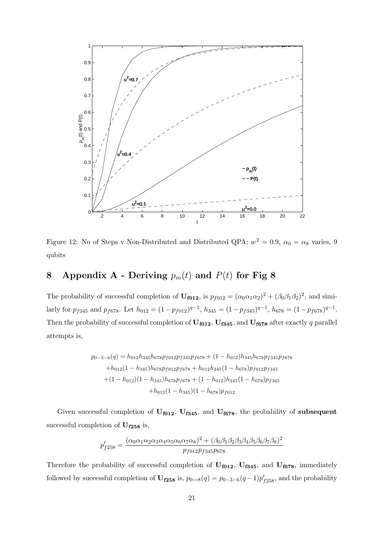

Figure 12: No of Steps v Non-Distributed and Distributed QPA:  $w^2 = 0.9$ ,  $\alpha_0 = \alpha_8$  varies, 9 qubits

# 8 Appendix A - Deriving  $p_m(t)$  and  $P(t)$  for Fig 8

The probability of successful completion of  $\mathbf{U}_{f012}$ , is  $p_{f012} = (\alpha_0 \alpha_1 \alpha_2)^2 + (\beta_0 \beta_1 \beta_2)^2$ , and similarly for  $p_{f345}$  and  $p_{f678}$ . Let  $h_{012} = (1 - p_{f012})^{q-1}$ ,  $h_{345} = (1 - p_{f345})^{q-1}$ ,  $h_{678} = (1 - p_{f678})^{q-1}$ . Then the probability of successful completion of  $U_{f012}$ ,  $U_{f345}$ , and  $U_{f678}$  after exactly q parallel attempts is,

$$
p_{0-3-6}(q) = h_{012}h_{345}h_{678}p_{f012}p_{f345}p_{f678} + (1 - h_{012})h_{345}h_{678}p_{f345}p_{f678}
$$

$$
+h_{012}(1 - h_{345})h_{678}p_{f012}p_{f678} + h_{012}h_{345}(1 - h_{678})p_{f012}p_{f345}
$$

$$
+ (1 - h_{012})(1 - h_{345})h_{678}p_{f678} + (1 - h_{012})h_{345}(1 - h_{678})p_{f345}
$$

$$
+h_{012}(1 - h_{345})(1 - h_{678})p_{f012}
$$

Given successful completion of  $U_{f012}$ ,  $U_{f345}$ , and  $U_{f678}$ , the probability of subsequent successful completion of  $\mathbf{U_{f258}}$  is,

$$
p'_{f258} = \frac{(\alpha_0 \alpha_1 \alpha_2 \alpha_3 \alpha_4 \alpha_5 \alpha_6 \alpha_7 \alpha_8)^2 + (\beta_0 \beta_1 \beta_2 \beta_3 \beta_4 \beta_5 \beta_6 \beta_7 \beta_8)^2}{p_{f012} p_{f345} p_{678}}
$$

Therefore the probability of successful completion of  $U_{f012}$ ,  $U_{f345}$ , and  $U_{f678}$ , immediately followed by successful completion of  $U_{f258}$  is,  $p_{0\rightarrow 8}(q) = p_{0-3-6}(q-1)p'_{f258}$ , and the probability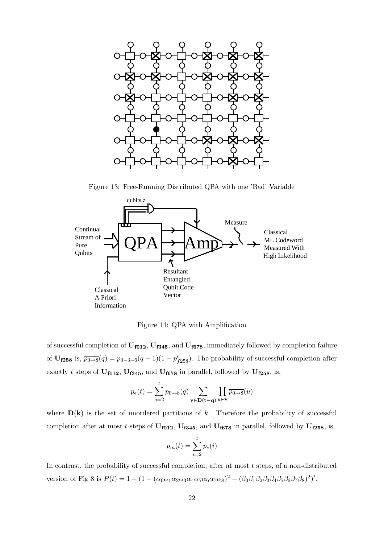

Figure 13: Free-Running Distributed QPA with one 'Bad' Variable



Figure 14: QPA with Amplification

of successful completion of  $U_{f012}$ ,  $U_{f345}$ , and  $U_{f678}$ , immediately followed by completion failure of  $U_{f258}$  is,  $\overline{p_{0\rightarrow 8}}(q) = p_{0-3-6}(q-1)(1-p'_{f258})$ . The probability of successful completion after exactly t steps of  $U_{f012}$ ,  $U_{f345}$ , and  $U_{f678}$  in parallel, followed by  $U_{f258}$ , is,

$$
p_e(t) = \sum_{q=2}^{t} p_{0 \to 8}(q) \sum_{\mathbf{v} \in \mathbf{D}(\mathbf{t} - \mathbf{q})} \prod_{u \in \mathbf{v}} \overline{p_{0 \to 8}}(u)
$$

where  $D(k)$  is the set of unordered partitions of k. Therefore the probability of successful completion after at most t steps of  $U_{f012}$ ,  $U_{f345}$ , and  $U_{f678}$  in parallel, followed by  $U_{f258}$ , is,

$$
p_m(t) = \sum_{i=2}^{t} p_e(i)
$$

In contrast, the probability of successful completion, after at most  $t$  steps, of a non-distributed version of Fig 8 is  $P(t) = 1 - (1 - (\alpha_0 \alpha_1 \alpha_2 \alpha_3 \alpha_4 \alpha_5 \alpha_6 \alpha_7 \alpha_8)^2 - (\beta_0 \beta_1 \beta_2 \beta_3 \beta_4 \beta_5 \beta_6 \beta_7 \beta_8)^2)^t$ .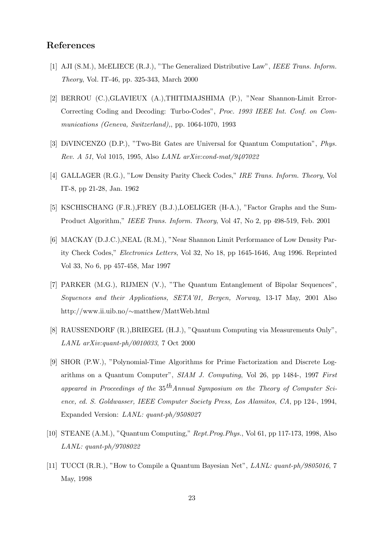## References

- [1] AJI (S.M.), McELIECE (R.J.), "The Generalized Distributive Law", IEEE Trans. Inform. Theory, Vol. IT-46, pp. 325-343, March 2000
- [2] BERROU (C.),GLAVIEUX (A.),THITIMAJSHIMA (P.), "Near Shannon-Limit Error-Correcting Coding and Decoding: Turbo-Codes", Proc. 1993 IEEE Int. Conf. on Communications (Geneva, Switzerland),, pp. 1064-1070, 1993
- [3] DiVINCENZO (D.P.), "Two-Bit Gates are Universal for Quantum Computation", Phys. Rev. A 51, Vol 1015, 1995, Also LANL arXiv:cond-mat/9407022
- [4] GALLAGER (R.G.), "Low Density Parity Check Codes," IRE Trans. Inform. Theory, Vol IT-8, pp 21-28, Jan. 1962
- [5] KSCHISCHANG (F.R.),FREY (B.J.),LOELIGER (H-A.), "Factor Graphs and the Sum-Product Algorithm," IEEE Trans. Inform. Theory, Vol 47, No 2, pp 498-519, Feb. 2001
- [6] MACKAY (D.J.C.),NEAL (R.M.), "Near Shannon Limit Performance of Low Density Parity Check Codes," Electronics Letters, Vol 32, No 18, pp 1645-1646, Aug 1996. Reprinted Vol 33, No 6, pp 457-458, Mar 1997
- [7] PARKER (M.G.), RIJMEN (V.), "The Quantum Entanglement of Bipolar Sequences", Sequences and their Applications, SETA'01, Bergen, Norway, 13-17 May, 2001 Also http://www.ii.uib.no/∼matthew/MattWeb.html
- [8] RAUSSENDORF (R.),BRIEGEL (H.J.), "Quantum Computing via Measurements Only", LANL arXiv:quant-ph/0010033, 7 Oct 2000
- [9] SHOR (P.W.), "Polynomial-Time Algorithms for Prime Factorization and Discrete Logarithms on a Quantum Computer", SIAM J. Computing, Vol 26, pp 1484-, 1997 First appeared in Proceedings of the  $35<sup>th</sup>Annual Symposium on the Theory of Computer Sci$ ence, ed. S. Goldwasser, IEEE Computer Society Press, Los Alamitos, CA, pp 124-, 1994, Expanded Version: LANL: quant-ph/9508027
- [10] STEANE (A.M.), "Quantum Computing," Rept.Prog.Phys., Vol 61, pp 117-173, 1998, Also LANL: quant-ph/9708022
- [11] TUCCI (R.R.), "How to Compile a Quantum Bayesian Net", LANL: quant-ph/9805016, 7 May, 1998